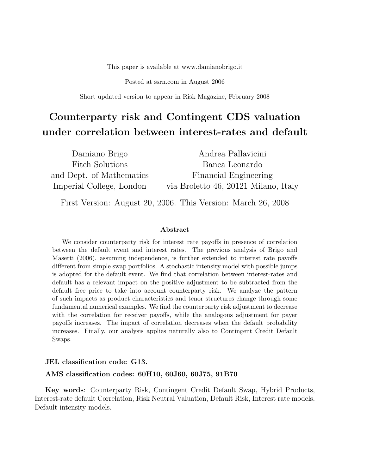This paper is available at www.damianobrigo.it

Posted at ssrn.com in August 2006

Short updated version to appear in Risk Magazine, February 2008

# Counterparty risk and Contingent CDS valuation under correlation between interest-rates and default

| Damiano Brigo            | Andrea Pallavicini                   |
|--------------------------|--------------------------------------|
| <b>Fitch Solutions</b>   | Banca Leonardo                       |
| and Dept. of Mathematics | Financial Engineering                |
| Imperial College, London | via Broletto 46, 20121 Milano, Italy |

First Version: August 20, 2006. This Version: March 26, 2008

#### Abstract

We consider counterparty risk for interest rate payoffs in presence of correlation between the default event and interest rates. The previous analysis of Brigo and Masetti (2006), assuming independence, is further extended to interest rate payoffs different from simple swap portfolios. A stochastic intensity model with possible jumps is adopted for the default event. We find that correlation between interest-rates and default has a relevant impact on the positive adjustment to be subtracted from the default free price to take into account counterparty risk. We analyze the pattern of such impacts as product characteristics and tenor structures change through some fundamental numerical examples. We find the counterparty risk adjustment to decrease with the correlation for receiver payoffs, while the analogous adjustment for payer payoffs increases. The impact of correlation decreases when the default probability increases. Finally, our analysis applies naturally also to Contingent Credit Default Swaps.

#### JEL classification code: G13.

#### AMS classification codes: 60H10, 60J60, 60J75, 91B70

Key words: Counterparty Risk, Contingent Credit Default Swap, Hybrid Products, Interest-rate default Correlation, Risk Neutral Valuation, Default Risk, Interest rate models, Default intensity models.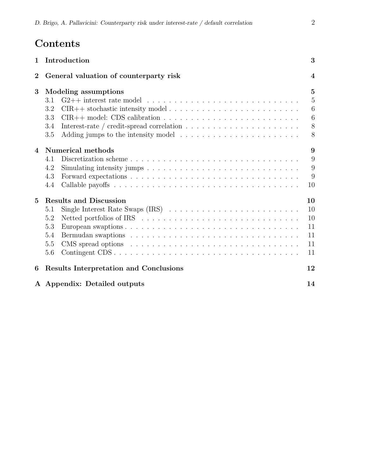# Contents

| 1                | Introduction                                                                                              | 3              |  |  |  |  |  |  |
|------------------|-----------------------------------------------------------------------------------------------------------|----------------|--|--|--|--|--|--|
| $\overline{2}$   | General valuation of counterparty risk<br>$\overline{\mathcal{A}}$                                        |                |  |  |  |  |  |  |
| 3                | Modeling assumptions                                                                                      | 5              |  |  |  |  |  |  |
|                  | 3.1                                                                                                       | $\overline{5}$ |  |  |  |  |  |  |
|                  | 3.2                                                                                                       | 6              |  |  |  |  |  |  |
|                  | 3.3                                                                                                       | 6              |  |  |  |  |  |  |
|                  | Interest-rate / credit-spread correlation $\ldots \ldots \ldots \ldots \ldots \ldots \ldots$<br>3.4       | 8              |  |  |  |  |  |  |
|                  | 3.5                                                                                                       | 8              |  |  |  |  |  |  |
| $\boldsymbol{4}$ | Numerical methods                                                                                         | 9              |  |  |  |  |  |  |
|                  | 4.1                                                                                                       | 9              |  |  |  |  |  |  |
|                  | 4.2<br>Simulating intensity jumps $\ldots \ldots \ldots \ldots \ldots \ldots \ldots \ldots \ldots \ldots$ | 9              |  |  |  |  |  |  |
|                  | 4.3                                                                                                       | 9              |  |  |  |  |  |  |
|                  | 4.4                                                                                                       | 10             |  |  |  |  |  |  |
| $\overline{5}$   | <b>Results and Discussion</b>                                                                             | 10             |  |  |  |  |  |  |
|                  | Single Interest Rate Swaps $(IRS) \dots \dots \dots \dots \dots \dots \dots \dots \dots$<br>5.1           | 10             |  |  |  |  |  |  |
|                  | 5.2                                                                                                       | 10             |  |  |  |  |  |  |
|                  | 5.3                                                                                                       | 11             |  |  |  |  |  |  |
|                  | 5.4                                                                                                       | 11             |  |  |  |  |  |  |
|                  | 5.5                                                                                                       | 11             |  |  |  |  |  |  |
|                  | 5.6                                                                                                       | 11             |  |  |  |  |  |  |
| 6                | <b>Results Interpretation and Conclusions</b>                                                             | 12             |  |  |  |  |  |  |
|                  | A Appendix: Detailed outputs                                                                              | 14             |  |  |  |  |  |  |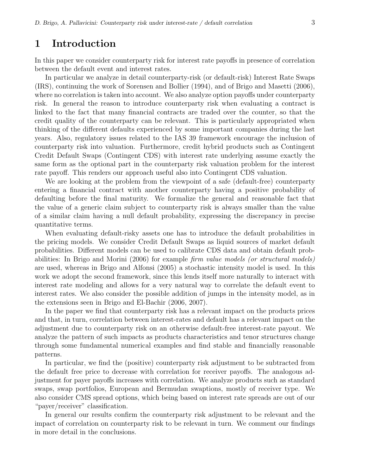## 1 Introduction

In this paper we consider counterparty risk for interest rate payoffs in presence of correlation between the default event and interest rates.

In particular we analyze in detail counterparty-risk (or default-risk) Interest Rate Swaps (IRS), continuing the work of Sorensen and Bollier (1994), and of Brigo and Masetti (2006), where no correlation is taken into account. We also analyze option payoffs under counterparty risk. In general the reason to introduce counterparty risk when evaluating a contract is linked to the fact that many financial contracts are traded over the counter, so that the credit quality of the counterparty can be relevant. This is particularly appropriated when thinking of the different defaults experienced by some important companies during the last years. Also, regulatory issues related to the IAS 39 framework encourage the inclusion of counterparty risk into valuation. Furthermore, credit hybrid products such as Contingent Credit Default Swaps (Contingent CDS) with interest rate underlying assume exactly the same form as the optional part in the counterparty risk valuation problem for the interest rate payoff. This renders our approach useful also into Contingent CDS valuation.

We are looking at the problem from the viewpoint of a safe (default-free) counterparty entering a financial contract with another counterparty having a positive probability of defaulting before the final maturity. We formalize the general and reasonable fact that the value of a generic claim subject to counterparty risk is always smaller than the value of a similar claim having a null default probability, expressing the discrepancy in precise quantitative terms.

When evaluating default-risky assets one has to introduce the default probabilities in the pricing models. We consider Credit Default Swaps as liquid sources of market default probabilities. Different models can be used to calibrate CDS data and obtain default probabilities: In Brigo and Morini (2006) for example firm value models (or structural models) are used, whereas in Brigo and Alfonsi (2005) a stochastic intensity model is used. In this work we adopt the second framework, since this lends itself more naturally to interact with interest rate modeling and allows for a very natural way to correlate the default event to interest rates. We also consider the possible addition of jumps in the intensity model, as in the extensions seen in Brigo and El-Bachir (2006, 2007).

In the paper we find that counterparty risk has a relevant impact on the products prices and that, in turn, correlation between interest-rates and default has a relevant impact on the adjustment due to counterparty risk on an otherwise default-free interest-rate payout. We analyze the pattern of such impacts as products characteristics and tenor structures change through some fundamental numerical examples and find stable and financially reasonable patterns.

In particular, we find the (positive) counterparty risk adjustment to be subtracted from the default free price to decrease with correlation for receiver payoffs. The analogous adjustment for payer payoffs increases with correlation. We analyze products such as standard swaps, swap portfolios, European and Bermudan swaptions, mostly of receiver type. We also consider CMS spread options, which being based on interest rate spreads are out of our "payer/receiver" classification.

In general our results confirm the counterparty risk adjustment to be relevant and the impact of correlation on counterparty risk to be relevant in turn. We comment our findings in more detail in the conclusions.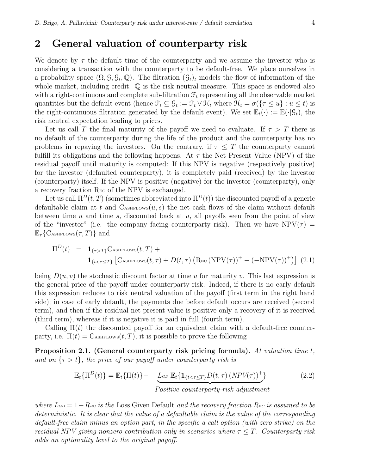## 2 General valuation of counterparty risk

We denote by  $\tau$  the default time of the counterparty and we assume the investor who is considering a transaction with the counterparty to be default-free. We place ourselves in a probability space  $(\Omega, \mathcal{G}, \mathcal{G}, \mathcal{G}_t, \mathbb{Q})$ . The filtration  $(\mathcal{G}_t)_t$  models the flow of information of the whole market, including credit.  $\mathbb{Q}$  is the risk neutral measure. This space is endowed also with a right-continuous and complete sub-filtration  $\mathcal{F}_t$  representing all the observable market quantities but the default event (hence  $\mathcal{F}_t \subseteq \mathcal{G}_t := \mathcal{F}_t \vee \mathcal{H}_t$  where  $\mathcal{H}_t = \sigma(\{\tau \le u\} : u \le t)$  is the right-continuous filtration generated by the default event). We set  $\mathbb{E}_t(\cdot) := \mathbb{E}(\cdot | \mathcal{G}_t)$ , the risk neutral expectation leading to prices.

Let us call T the final maturity of the payoff we need to evaluate. If  $\tau > T$  there is no default of the counterparty during the life of the product and the counterparty has no problems in repaying the investors. On the contrary, if  $\tau \leq T$  the counterparty cannot fulfill its obligations and the following happens. At  $\tau$  the Net Present Value (NPV) of the residual payoff until maturity is computed: If this NPV is negative (respectively positive) for the investor (defaulted counterparty), it is completely paid (received) by the investor (counterparty) itself. If the NPV is positive (negative) for the investor (counterparty), only a recovery fraction R<sub>EC</sub> of the NPV is exchanged.

Let us call  $\Pi^{D}(t, T)$  (sometimes abbreviated into  $\Pi^{D}(t)$ ) the discounted payoff of a generic defaultable claim at t and  $\text{C}_{\text{ASHFLOWS}}(u, s)$  the net cash flows of the claim without default between time u and time s, discounted back at u, all payoffs seen from the point of view of the "investor" (i.e. the company facing counterparty risk). Then we have  $NPV(\tau)$  =  $\mathbb{E}_{\tau}\lbrace \text{C}_{\text{ASHFLows}}(\tau, T) \rbrace$  and

$$
\Pi^{D}(t) = \mathbf{1}_{\{\tau > T\}} \text{CashFlows}(t, T) + \mathbf{1}_{\{t < \tau \le T\}} \left[ \text{CashFlows}(t, \tau) + D(t, \tau) \left( \text{Rec} \left( \text{NPV}(\tau) \right)^{+} - \left( - \text{NPV}(\tau) \right)^{+} \right) \right] (2.1)
$$

being  $D(u, v)$  the stochastic discount factor at time u for maturity v. This last expression is the general price of the payoff under counterparty risk. Indeed, if there is no early default this expression reduces to risk neutral valuation of the payoff (first term in the right hand side); in case of early default, the payments due before default occurs are received (second term), and then if the residual net present value is positive only a recovery of it is received (third term), whereas if it is negative it is paid in full (fourth term).

Calling  $\Pi(t)$  the discounted payoff for an equivalent claim with a default-free counterparty, i.e.  $\Pi(t) = \text{C}_{\text{ASHFLOWS}}(t, T)$ , it is possible to prove the following

Proposition 2.1. (General counterparty risk pricing formula). At valuation time t, and on  $\{\tau > t\}$ , the price of our payoff under counterparty risk is

$$
\mathbb{E}_{t}\{\Pi^{D}(t)\} = \mathbb{E}_{t}\{\Pi(t)\} - \underbrace{L_{GD} \mathbb{E}_{t}\{\mathbf{1}_{\{t < \tau \leq T\}} D(t, \tau) (NPV(\tau))^{+}\}}_{Positive\ counterparty-risk\ adjustment}
$$
\n(2.2)

where  $L_{GD} = 1 - R_{EC}$  is the Loss Given Default and the recovery fraction  $R_{EC}$  is assumed to be deterministic. It is clear that the value of a defaultable claim is the value of the corresponding default-free claim minus an option part, in the specific a call option (with zero strike) on the residual NPV giving nonzero contribution only in scenarios where  $\tau \leq T$ . Counterparty risk adds an optionality level to the original payoff.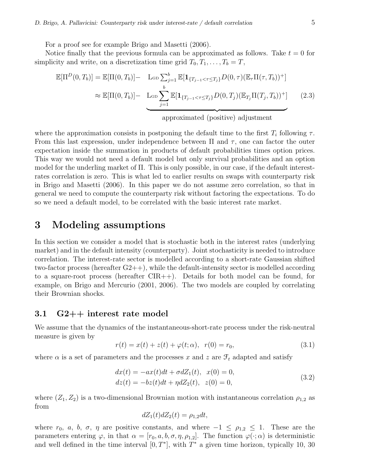For a proof see for example Brigo and Masetti (2006).

Notice finally that the previous formula can be approximated as follows. Take  $t = 0$  for simplicity and write, on a discretization time grid  $T_0, T_1, \ldots, T_b = T$ ,

$$
\mathbb{E}[\Pi^{D}(0,T_{b})] = \mathbb{E}[\Pi(0,T_{b})] - \text{Log}\sum_{j=1}^{b} \mathbb{E}[\mathbf{1}_{\{T_{j-1} < \tau \leq T_{j}\}} D(0,\tau)(\mathbb{E}_{\tau}\Pi(\tau,T_{b}))^{+}] \\
\approx \mathbb{E}[\Pi(0,T_{b})] - \text{Log}\sum_{j=1}^{b} \mathbb{E}[\mathbf{1}_{\{T_{j-1} < \tau \leq T_{j}\}} D(0,T_{j})(\mathbb{E}_{T_{j}}\Pi(T_{j},T_{b}))^{+}] \tag{2.3}
$$

approximated (positive) adjustment

where the approximation consists in postponing the default time to the first  $T_i$  following  $\tau$ . From this last expression, under independence between  $\Pi$  and  $\tau$ , one can factor the outer expectation inside the summation in products of default probabilities times option prices. This way we would not need a default model but only survival probabilities and an option model for the underling market of Π. This is only possible, in our case, if the default interestrates correlation is zero. This is what led to earlier results on swaps with counterparty risk in Brigo and Masetti (2006). In this paper we do not assume zero correlation, so that in general we need to compute the counterparty risk without factoring the expectations. To do so we need a default model, to be correlated with the basic interest rate market.

## 3 Modeling assumptions

In this section we consider a model that is stochastic both in the interest rates (underlying market) and in the default intensity (counterparty). Joint stochasticity is needed to introduce correlation. The interest-rate sector is modelled according to a short-rate Gaussian shifted two-factor process (hereafter  $G2++$ ), while the default-intensity sector is modelled according to a square-root process (hereafter CIR++). Details for both model can be found, for example, on Brigo and Mercurio (2001, 2006). The two models are coupled by correlating their Brownian shocks.

### 3.1 G2++ interest rate model

We assume that the dynamics of the instantaneous-short-rate process under the risk-neutral measure is given by

$$
r(t) = x(t) + z(t) + \varphi(t; \alpha), \ \ r(0) = r_0,
$$
\n(3.1)

where  $\alpha$  is a set of parameters and the processes x and z are  $\mathcal{F}_t$  adapted and satisfy

$$
dx(t) = -ax(t)dt + \sigma dZ_1(t), \quad x(0) = 0,
$$
  
\n
$$
dz(t) = -bz(t)dt + \eta dZ_2(t), \quad z(0) = 0,
$$
\n(3.2)

where  $(Z_1, Z_2)$  is a two-dimensional Brownian motion with instantaneous correlation  $\rho_{1,2}$  as from

$$
dZ_1(t)dZ_2(t) = \rho_{1,2}dt,
$$

where  $r_0$ ,  $a$ ,  $b$ ,  $\sigma$ ,  $\eta$  are positive constants, and where  $-1 \leq \rho_{1,2} \leq 1$ . These are the parameters entering  $\varphi$ , in that  $\alpha = [r_0, a, b, \sigma, \eta, \rho_{1,2}]$ . The function  $\varphi(\cdot; \alpha)$  is deterministic and well defined in the time interval  $[0, T^*]$ , with  $T^*$  a given time horizon, typically 10, 30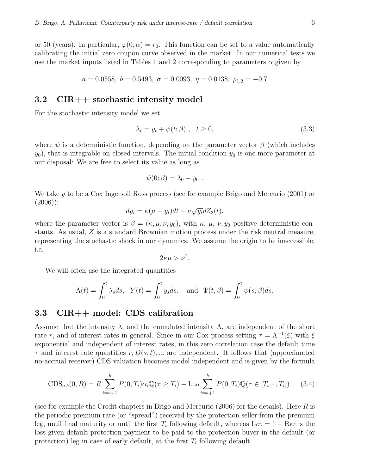or 50 (years). In particular,  $\varphi(0;\alpha) = r_0$ . This function can be set to a value automatically calibrating the initial zero coupon curve observed in the market. In our numerical tests we use the market inputs listed in Tables 1 and 2 corresponding to parameters  $\alpha$  given by

$$
a = 0.0558, b = 0.5493, \sigma = 0.0093, \eta = 0.0138, \rho_{1,2} = -0.7
$$

#### 3.2 CIR++ stochastic intensity model

For the stochastic intensity model we set

$$
\lambda_t = y_t + \psi(t; \beta) , \quad t \ge 0,
$$
\n(3.3)

where  $\psi$  is a deterministic function, depending on the parameter vector  $\beta$  (which includes  $y_0$ , that is integrable on closed intervals. The initial condition  $y_0$  is one more parameter at our disposal: We are free to select its value as long as

$$
\psi(0;\beta)=\lambda_0-y_0.
$$

We take y to be a Cox Ingersoll Ross process (see for example Brigo and Mercurio (2001) or  $(2006)$ : √

$$
dy_t = \kappa(\mu - y_t)dt + \nu \sqrt{y_t}dZ_3(t),
$$

where the parameter vector is  $\beta = (\kappa, \mu, \nu, y_0)$ , with  $\kappa, \mu, \nu, y_0$  positive deterministic constants. As usual, Z is a standard Brownian motion process under the risk neutral measure, representing the stochastic shock in our dynamics. We assume the origin to be inaccessible, i.e.

$$
2\kappa\mu > \nu^2.
$$

We will often use the integrated quantities

$$
\Lambda(t) = \int_0^t \lambda_s ds, \ \ Y(t) = \int_0^t y_s ds, \ \text{and} \ \ \Psi(t, \beta) = \int_0^t \psi(s, \beta) ds.
$$

#### 3.3 CIR++ model: CDS calibration

Assume that the intensity  $\lambda$ , and the cumulated intensity  $\Lambda$ , are independent of the short rate r, and of interest rates in general. Since in our Cox process setting  $\tau = \Lambda^{-1}(\xi)$  with  $\xi$ exponential and independent of interest rates, in this zero correlation case the default time  $\tau$  and interest rate quantities  $r, D(s, t)$ , ... are independent. It follows that (approximated no-accrual receiver) CDS valuation becomes model independent and is given by the formula

$$
CDS_{a,b}(0,R) = R \sum_{i=a+1}^{b} P(0,T_i)\alpha_i \mathbb{Q}(\tau \ge T_i) - \text{L}_{GD} \sum_{i=a+1}^{b} P(0,T_i)\mathbb{Q}(\tau \in [T_{i-1},T_i]) \tag{3.4}
$$

(see for example the Credit chapters in Brigo and Mercurio  $(2006)$  for the details). Here R is the periodic premium rate (or "spread") received by the protection seller from the premium leg, until final maturity or until the first  $T_i$  following default, whereas L<sub>GD</sub> = 1 – R<sub>EC</sub> is the loss given default protection payment to be paid to the protection buyer in the default (or protection) leg in case of early default, at the first  $T_i$  following default.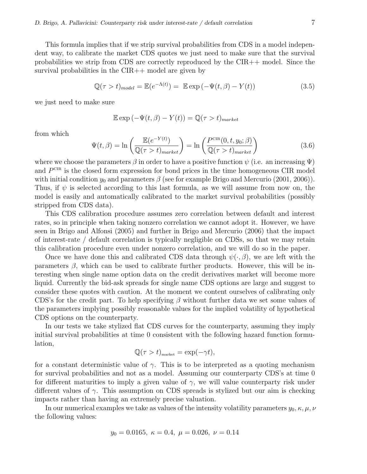This formula implies that if we strip survival probabilities from CDS in a model independent way, to calibrate the market CDS quotes we just need to make sure that the survival probabilities we strip from CDS are correctly reproduced by the  $CIR++$  model. Since the survival probabilities in the  $CIR++$  model are given by

$$
\mathbb{Q}(\tau > t)_{model} = \mathbb{E}(e^{-\Lambda(t)}) = \mathbb{E}\exp(-\Psi(t,\beta) - Y(t))
$$
\n(3.5)

we just need to make sure

$$
\mathbb{E}\exp(-\Psi(t,\beta)-Y(t))=\mathbb{Q}(\tau>t)_{market}
$$

from which

$$
\Psi(t,\beta) = \ln\left(\frac{\mathbb{E}(e^{-Y(t)})}{\mathbb{Q}(\tau > t)_{market}}\right) = \ln\left(\frac{P^{\text{CIR}}(0,t,y_0;\beta)}{\mathbb{Q}(\tau > t)_{market}}\right)
$$
(3.6)

where we choose the parameters  $\beta$  in order to have a positive function  $\psi$  (i.e. an increasing  $\Psi$ ) and  $P<sup>CR</sup>$  is the closed form expression for bond prices in the time homogeneous CIR model with initial condition  $y_0$  and parameters  $\beta$  (see for example Brigo and Mercurio (2001, 2006)). Thus, if  $\psi$  is selected according to this last formula, as we will assume from now on, the model is easily and automatically calibrated to the market survival probabilities (possibly stripped from CDS data).

This CDS calibration procedure assumes zero correlation between default and interest rates, so in principle when taking nonzero correlation we cannot adopt it. However, we have seen in Brigo and Alfonsi (2005) and further in Brigo and Mercurio (2006) that the impact of interest-rate / default correlation is typically negligible on CDSs, so that we may retain this calibration procedure even under nonzero correlation, and we will do so in the paper.

Once we have done this and calibrated CDS data through  $\psi(\cdot,\beta)$ , we are left with the parameters  $\beta$ , which can be used to calibrate further products. However, this will be interesting when single name option data on the credit derivatives market will become more liquid. Currently the bid-ask spreads for single name CDS options are large and suggest to consider these quotes with caution. At the moment we content ourselves of calibrating only CDS's for the credit part. To help specifying  $\beta$  without further data we set some values of the parameters implying possibly reasonable values for the implied volatility of hypothetical CDS options on the counterparty.

In our tests we take stylized flat CDS curves for the counterparty, assuming they imply initial survival probabilities at time 0 consistent with the following hazard function formulation,

$$
\mathbb{Q}(\tau > t)_{\text{market}} = \exp(-\gamma t),
$$

for a constant deterministic value of  $\gamma$ . This is to be interpreted as a quoting mechanism for survival probabilities and not as a model. Assuming our counterparty CDS's at time 0 for different maturities to imply a given value of  $\gamma$ , we will value counterparty risk under different values of  $\gamma$ . This assumption on CDS spreads is stylized but our aim is checking impacts rather than having an extremely precise valuation.

In our numerical examples we take as values of the intensity volatility parameters  $y_0, \kappa, \mu, \nu$ the following values:

$$
y_0 = 0.0165, \ \kappa = 0.4, \ \mu = 0.026, \ \nu = 0.14
$$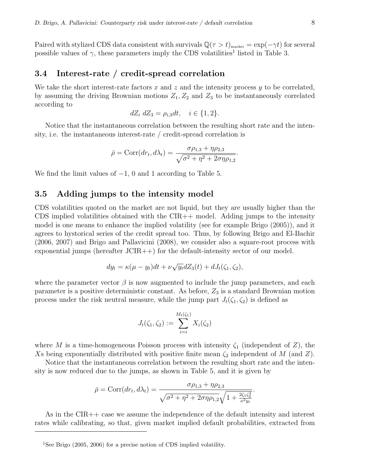Paired with stylized CDS data consistent with survivals  $\mathbb{Q}(\tau > t)_{\text{market}} = \exp(-\gamma t)$  for several possible values of  $\gamma$ , these parameters imply the CDS volatilities<sup>1</sup> listed in Table 3.

### 3.4 Interest-rate / credit-spread correlation

We take the short interest-rate factors  $x$  and  $z$  and the intensity process  $y$  to be correlated, by assuming the driving Brownian motions  $Z_1, Z_2$  and  $Z_3$  to be instantaneously correlated according to

$$
dZ_i \, dZ_3 = \rho_{i,3} dt, \quad i \in \{1, 2\}.
$$

Notice that the instantaneous correlation between the resulting short rate and the intensity, i.e. the instantaneous interest-rate / credit-spread correlation is

$$
\bar{\rho} = \text{Corr}(dr_t, d\lambda_t) = \frac{\sigma \rho_{1,3} + \eta \rho_{2,3}}{\sqrt{\sigma^2 + \eta^2 + 2\sigma \eta \rho_{1,2}}}.
$$

We find the limit values of  $-1$ , 0 and 1 according to Table 5.

#### 3.5 Adding jumps to the intensity model

CDS volatilities quoted on the market are not liquid, but they are usually higher than the CDS implied volatilities obtained with the CIR++ model. Adding jumps to the intensity model is one means to enhance the implied volatility (see for example Brigo (2005)), and it agrees to hystorical series of the credit spread too. Thus, by following Brigo and El-Bachir (2006, 2007) and Brigo and Pallavicini (2008), we consider also a square-root process with exponential jumps (hereafter  $JCIR++$ ) for the default-intensity sector of our model.

$$
dy_t = \kappa(\mu - y_t)dt + \nu\sqrt{y_t}dZ_3(t) + dJ_t(\zeta_1, \zeta_2),
$$

where the parameter vector  $\beta$  is now augmented to include the jump parameters, and each parameter is a positive deterministic constant. As before,  $Z_3$  is a standard Brownian motion process under the risk neutral measure, while the jump part  $J_t(\zeta_1, \zeta_2)$  is defined as

$$
J_t(\zeta_1, \zeta_2) := \sum_{i=i}^{M_t(\zeta_1)} X_i(\zeta_2)
$$

where M is a time-homogeneous Poisson process with intensity  $\zeta_1$  (independent of Z), the Xs being exponentially distributed with positive finite mean  $\zeta_2$  independent of M (and Z).

Notice that the instantaneous correlation between the resulting short rate and the intensity is now reduced due to the jumps, as shown in Table 5, and it is given by

$$
\bar{\rho} = \text{Corr}(dr_t, d\lambda_t) = \frac{\sigma \rho_{1,3} + \eta \rho_{2,3}}{\sqrt{\sigma^2 + \eta^2 + 2\sigma \eta \rho_{1,2}} \sqrt{1 + \frac{2\zeta_1 \zeta_2^2}{\nu^2 y_t}}}.
$$

As in the CIR++ case we assume the independence of the default intensity and interest rates while calibrating, so that, given market implied default probabilities, extracted from

<sup>&</sup>lt;sup>1</sup>See Brigo (2005, 2006) for a precise notion of CDS implied volatility.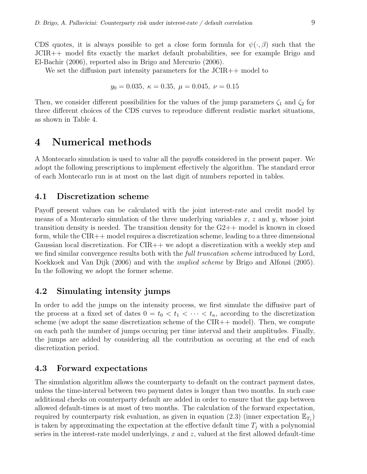CDS quotes, it is always possible to get a close form formula for  $\psi(\cdot,\beta)$  such that the JCIR++ model fits exactly the market default probabilities, see for example Brigo and El-Bachir (2006), reported also in Brigo and Mercurio (2006).

We set the diffusion part intensity parameters for the JCIR++ model to

$$
y_0 = 0.035, \ \kappa = 0.35, \ \mu = 0.045, \ \nu = 0.15
$$

Then, we consider different possibilities for the values of the jump parameters  $\zeta_1$  and  $\zeta_2$  for three different choices of the CDS curves to reproduce different realistic market situations, as shown in Table 4.

## 4 Numerical methods

A Montecarlo simulation is used to value all the payoffs considered in the present paper. We adopt the following prescriptions to implement effectively the algorithm. The standard error of each Montecarlo run is at most on the last digit of numbers reported in tables.

#### 4.1 Discretization scheme

Payoff present values can be calculated with the joint interest-rate and credit model by means of a Montecarlo simulation of the three underlying variables  $x, z$  and  $y$ , whose joint transition density is needed. The transition density for the G2++ model is known in closed form, while the CIR++ model requires a discretization scheme, leading to a three dimensional Gaussian local discretization. For CIR++ we adopt a discretization with a weekly step and we find similar convergence results both with the *full truncation scheme* introduced by Lord, Koekkoek and Van Dijk (2006) and with the implied scheme by Brigo and Alfonsi (2005). In the following we adopt the former scheme.

#### 4.2 Simulating intensity jumps

In order to add the jumps on the intensity process, we first simulate the diffusive part of the process at a fixed set of dates  $0 = t_0 < t_1 < \cdots < t_n$ , according to the discretization scheme (we adopt the same discretization scheme of the CIR++ model). Then, we compute on each path the number of jumps occuring per time interval and their amplitudes. Finally, the jumps are added by considering all the contribution as occuring at the end of each discretization period.

#### 4.3 Forward expectations

The simulation algorithm allows the counterparty to default on the contract payment dates, unless the time-interval between two payment dates is longer than two months. In such case additional checks on counterparty default are added in order to ensure that the gap between allowed default-times is at most of two months. The calculation of the forward expectation, required by counterparty risk evaluation, as given in equation (2.3) (inner expectation  $\mathbb{E}_{T_j}$ ) is taken by approximating the expectation at the effective default time  $T_i$  with a polynomial series in the interest-rate model underlyings,  $x$  and  $z$ , valued at the first allowed default-time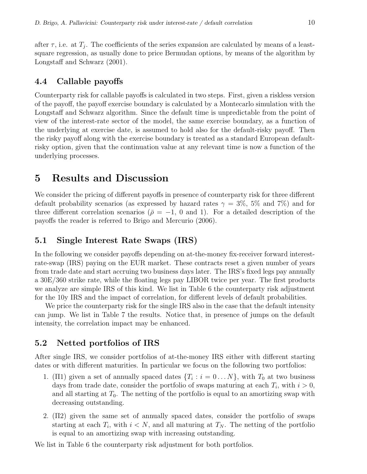after  $\tau$ , i.e. at  $T_j$ . The coefficients of the series expansion are calculated by means of a leastsquare regression, as usually done to price Bermudan options, by means of the algorithm by Longstaff and Schwarz (2001).

#### 4.4 Callable payoffs

Counterparty risk for callable payoffs is calculated in two steps. First, given a riskless version of the payoff, the payoff exercise boundary is calculated by a Montecarlo simulation with the Longstaff and Schwarz algorithm. Since the default time is unpredictable from the point of view of the interest-rate sector of the model, the same exercise boundary, as a function of the underlying at exercise date, is assumed to hold also for the default-risky payoff. Then the risky payoff along with the exercise boundary is treated as a standard European defaultrisky option, given that the continuation value at any relevant time is now a function of the underlying processes.

## 5 Results and Discussion

We consider the pricing of different payoffs in presence of counterparty risk for three different default probability scenarios (as expressed by hazard rates  $\gamma = 3\%$ , 5% and 7%) and for three different correlation scenarios ( $\bar{\rho} = -1$ , 0 and 1). For a detailed description of the payoffs the reader is referred to Brigo and Mercurio (2006).

### 5.1 Single Interest Rate Swaps (IRS)

In the following we consider payoffs depending on at-the-money fix-receiver forward interestrate-swap (IRS) paying on the EUR market. These contracts reset a given number of years from trade date and start accruing two business days later. The IRS's fixed legs pay annually a 30E/360 strike rate, while the floating legs pay LIBOR twice per year. The first products we analyze are simple IRS of this kind. We list in Table 6 the counterparty risk adjustment for the 10y IRS and the impact of correlation, for different levels of default probabilities.

We price the counterparty risk for the single IRS also in the case that the default intensity can jump. We list in Table 7 the results. Notice that, in presence of jumps on the default intensity, the correlation impact may be enhanced.

#### 5.2 Netted portfolios of IRS

After single IRS, we consider portfolios of at-the-money IRS either with different starting dates or with different maturities. In particular we focus on the following two portfolios:

- 1. (II1) given a set of annually spaced dates  $\{T_i : i = 0...N\}$ , with  $T_0$  at two business days from trade date, consider the portfolio of swaps maturing at each  $T_i$ , with  $i > 0$ , and all starting at  $T_0$ . The netting of the portfolio is equal to an amortizing swap with decreasing outstanding.
- 2. (Π2) given the same set of annually spaced dates, consider the portfolio of swaps starting at each  $T_i$ , with  $i < N$ , and all maturing at  $T_N$ . The netting of the portfolio is equal to an amortizing swap with increasing outstanding.

We list in Table 6 the counterparty risk adjustment for both portfolios.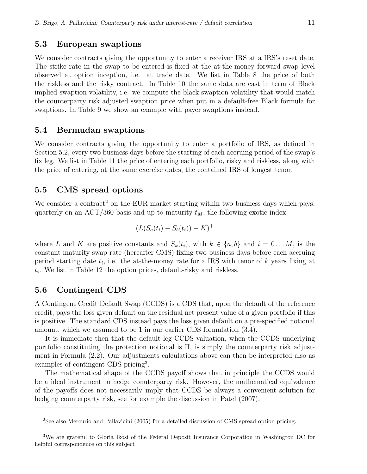#### 5.3 European swaptions

We consider contracts giving the opportunity to enter a receiver IRS at a IRS's reset date. The strike rate in the swap to be entered is fixed at the at-the-money forward swap level observed at option inception, i.e. at trade date. We list in Table 8 the price of both the riskless and the risky contract. In Table 10 the same data are cast in term of Black implied swaption volatility, i.e. we compute the black swaption volatility that would match the counterparty risk adjusted swaption price when put in a default-free Black formula for swaptions. In Table 9 we show an example with payer swaptions instead.

#### 5.4 Bermudan swaptions

We consider contracts giving the opportunity to enter a portfolio of IRS, as defined in Section 5.2, every two business days before the starting of each accruing period of the swap's fix leg. We list in Table 11 the price of entering each portfolio, risky and riskless, along with the price of entering, at the same exercise dates, the contained IRS of longest tenor.

#### 5.5 CMS spread options

We consider a contract<sup>2</sup> on the EUR market starting within two business days which pays, quarterly on an ACT/360 basis and up to maturity  $t_M$ , the following exotic index:

$$
(L(S_a(t_i) - S_b(t_i)) - K)^+
$$

where L and K are positive constants and  $S_k(t_i)$ , with  $k \in \{a, b\}$  and  $i = 0 \dots M$ , is the constant maturity swap rate (hereafter CMS) fixing two business days before each accruing period starting date  $t_i$ , i.e. the at-the-money rate for a IRS with tenor of k years fixing at  $t_i$ . We list in Table 12 the option prices, default-risky and riskless.

### 5.6 Contingent CDS

A Contingent Credit Default Swap (CCDS) is a CDS that, upon the default of the reference credit, pays the loss given default on the residual net present value of a given portfolio if this is positive. The standard CDS instead pays the loss given default on a pre-specified notional amount, which we assumed to be 1 in our earlier CDS formulation (3.4).

It is immediate then that the default leg CCDS valuation, when the CCDS underlying portfolio constituting the protection notional is  $\Pi$ , is simply the counterparty risk adjustment in Formula (2.2). Our adjustments calculations above can then be interpreted also as examples of contingent CDS pricing<sup>3</sup>.

The mathematical shape of the CCDS payoff shows that in principle the CCDS would be a ideal instrument to hedge conuterparty risk. However, the mathematical equivalence of the payoffs does not necessarily imply that CCDS be always a convenient solution for hedging counterparty risk, see for example the discussion in Patel  $(2007)$ .

<sup>&</sup>lt;sup>2</sup>See also Mercurio and Pallavicini (2005) for a detailed discussion of CMS spread option pricing.

<sup>3</sup>We are grateful to Gloria Ikosi of the Federal Deposit Insurance Corporation in Washington DC for helpful correspondence on this subject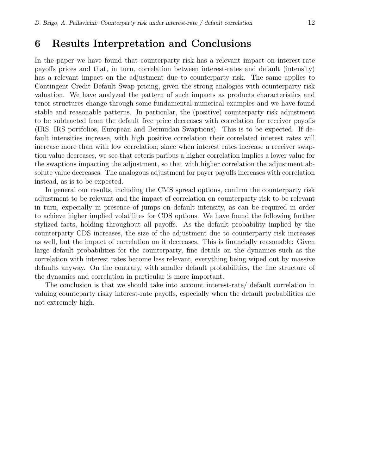## 6 Results Interpretation and Conclusions

In the paper we have found that counterparty risk has a relevant impact on interest-rate payoffs prices and that, in turn, correlation between interest-rates and default (intensity) has a relevant impact on the adjustment due to counterparty risk. The same applies to Contingent Credit Default Swap pricing, given the strong analogies with counterparty risk valuation. We have analyzed the pattern of such impacts as products characteristics and tenor structures change through some fundamental numerical examples and we have found stable and reasonable patterns. In particular, the (positive) counterparty risk adjustment to be subtracted from the default free price decreases with correlation for receiver payoffs (IRS, IRS portfolios, European and Bermudan Swaptions). This is to be expected. If default intensities increase, with high positive correlation their correlated interest rates will increase more than with low correlation; since when interest rates increase a receiver swaption value decreases, we see that ceteris paribus a higher correlation implies a lower value for the swaptions impacting the adjustment, so that with higher correlation the adjustment absolute value decreases. The analogous adjustment for payer payoffs increases with correlation instead, as is to be expected.

In general our results, including the CMS spread options, confirm the counterparty risk adjustment to be relevant and the impact of correlation on counterparty risk to be relevant in turn, expecially in presence of jumps on default intensity, as can be required in order to achieve higher implied volatilites for CDS options. We have found the following further stylized facts, holding throughout all payoffs. As the default probability implied by the counterparty CDS increases, the size of the adjustment due to counterparty risk increases as well, but the impact of correlation on it decreases. This is financially reasonable: Given large default probabilities for the counterparty, fine details on the dynamics such as the correlation with interest rates become less relevant, everything being wiped out by massive defaults anyway. On the contrary, with smaller default probabilities, the fine structure of the dynamics and correlation in particular is more important.

The conclusion is that we should take into account interest-rate/ default correlation in valuing counteparty risky interest-rate payoffs, especially when the default probabilities are not extremely high.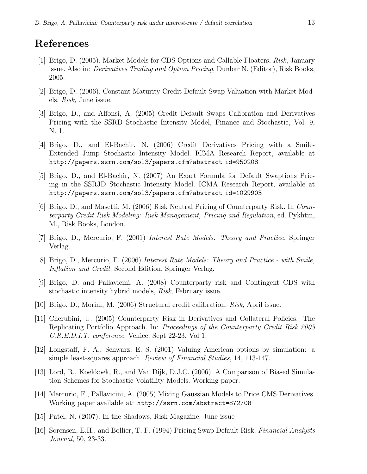## References

- [1] Brigo, D. (2005). Market Models for CDS Options and Callable Floaters, Risk, January issue. Also in: *Derivatives Trading and Option Pricing*, Dunbar N. (Editor), Risk Books, 2005.
- [2] Brigo, D. (2006). Constant Maturity Credit Default Swap Valuation with Market Models, Risk, June issue.
- [3] Brigo, D., and Alfonsi, A. (2005) Credit Default Swaps Calibration and Derivatives Pricing with the SSRD Stochastic Intensity Model, Finance and Stochastic, Vol. 9, N. 1.
- [4] Brigo, D., and El-Bachir, N. (2006) Credit Derivatives Pricing with a Smile-Extended Jump Stochastic Intensity Model. ICMA Research Report, available at http://papers.ssrn.com/sol3/papers.cfm?abstract id=950208
- [5] Brigo, D., and El-Bachir, N. (2007) An Exact Formula for Default Swaptions Pricing in the SSRJD Stochastic Intensity Model. ICMA Research Report, available at http://papers.ssrn.com/sol3/papers.cfm?abstract id=1029903
- [6] Brigo, D., and Masetti, M. (2006) Risk Neutral Pricing of Counterparty Risk. In Counterparty Credit Risk Modeling: Risk Management, Pricing and Regulation, ed. Pykhtin, M., Risk Books, London.
- [7] Brigo, D., Mercurio, F. (2001) Interest Rate Models: Theory and Practice, Springer Verlag.
- [8] Brigo, D., Mercurio, F. (2006) Interest Rate Models: Theory and Practice with Smile, Inflation and Credit, Second Edition, Springer Verlag.
- [9] Brigo, D. and Pallavicini, A. (2008) Counterparty risk and Contingent CDS with stochastic intensity hybrid models, Risk, February issue.
- [10] Brigo, D., Morini, M. (2006) Structural credit calibration, Risk, April issue.
- [11] Cherubini, U. (2005) Counterparty Risk in Derivatives and Collateral Policies: The Replicating Portfolio Approach. In: Proceedings of the Counterparty Credit Risk 2005 C.R.E.D.I.T. conference, Venice, Sept 22-23, Vol 1.
- [12] Longstaff, F. A., Schwarz, E. S. (2001) Valuing American options by simulation: a simple least-squares approach. Review of Financial Studies, 14, 113-147.
- [13] Lord, R., Koekkoek, R., and Van Dijk, D.J.C. (2006). A Comparison of Biased Simulation Schemes for Stochastic Volatility Models. Working paper.
- [14] Mercurio, F., Pallavicini, A. (2005) Mixing Gaussian Models to Price CMS Derivatives. Working paper available at: http://ssrn.com/abstract=872708
- [15] Patel, N. (2007). In the Shadows, Risk Magazine, June issue
- [16] Sorensen, E.H., and Bollier, T. F. (1994) Pricing Swap Default Risk. Financial Analysts Journal, 50, 23-33.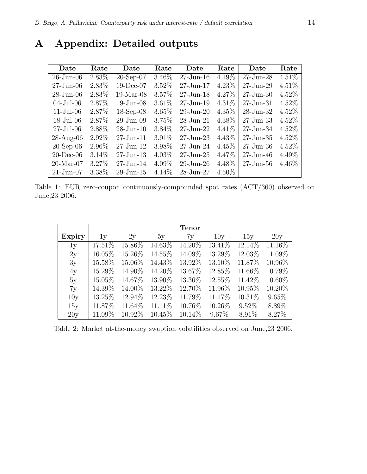# A Appendix: Detailed outputs

| Date                 | Rate     | Date          | Rate     | Date            | Rate     | Date          | Rate     |
|----------------------|----------|---------------|----------|-----------------|----------|---------------|----------|
| $26$ -Jun- $06$      | 2.83\%   | $20$ -Sep-07  | $3.46\%$ | $27 - Jun-16$   | 4.19\%   | $27 - Jun-28$ | $4.51\%$ |
| $27 - Jun-06$        | 2.83\%   | $19$ -Dec-07  | $3.52\%$ | $27 - Jun-17$   | $4.23\%$ | $27 - Jun-29$ | $4.51\%$ |
| $28$ -Jun-06         | $2.83\%$ | $19-Mar-08$   | $3.57\%$ | $27$ -Jun-18    | $4.27\%$ | $27 - Jun-30$ | $4.52\%$ |
| $04$ -Jul- $06$      | $2.87\%$ | $19$ -Jun-08  | $3.61\%$ | $27 - Jun-19$   | $4.31\%$ | $27 - Jun-31$ | 4.52%    |
| $11-Jul-06$          | $2.87\%$ | $18-Sep-08$   | $3.65\%$ | $29$ -Jun- $20$ | $4.35\%$ | $28$ -Jun-32  | $4.52\%$ |
| $18$ -Jul-06         | 2.87\%   | $29 - Jun-09$ | 3.75\%   | $28$ -Jun- $21$ | 4.38\%   | $27 - Jun-33$ | $4.52\%$ |
| $27 - \text{Jul}-06$ | 2.88\%   | $28$ -Jun-10  | $3.84\%$ | $27 - Jun-22$   | $4.41\%$ | $27 - Jun-34$ | $4.52\%$ |
| $28-Aug-06$          | 2.92\%   | $27 - Jun-11$ | $3.91\%$ | $27 - Jun-23$   | $4.43\%$ | $27 - Jun-35$ | 4.52%    |
| $20$ -Sep-06         | $2.96\%$ | $27$ -Jun-12  | 3.98\%   | $27 - Jun-24$   | $4.45\%$ | $27 - Jun-36$ | 4.52%    |
| $20$ -Dec-06         | $3.14\%$ | $27$ -Jun-13  | $4.03\%$ | $27 - Jun-25$   | 4.47\%   | $27 - Jun-46$ | 4.49\%   |
| $20$ -Mar-07         | $3.27\%$ | $27 - Jun-14$ | $4.09\%$ | $29$ -Jun- $26$ | 4.48\%   | $27 - Jun-56$ | 4.46\%   |
| $21 - Jun-07$        | 3.38%    | $29$ -Jun-15  | $4.14\%$ | $28$ -Jun- $27$ | $4.50\%$ |               |          |

Table 1: EUR zero-coupon continuously-compounded spot rates (ACT/360) observed on June,23 2006.

|               |        |         |        | <b>Tenor</b> |         |         |        |
|---------------|--------|---------|--------|--------------|---------|---------|--------|
| <b>Expiry</b> | 1y     | 2y      | 5y     | 7v           | 10y     | 15y     | 20y    |
| 1y            | 17.51% | 15.86%  | 14.63% | 14.20%       | 13.41\% | 12.14%  | 11.16% |
| 2y            | 16.05% | 15.26\% | 14.55% | 14.09%       | 13.29%  | 12.03%  | 11.09% |
| 3y            | 15.58% | 15.06\% | 14.43% | 13.92%       | 13.10%  | 11.87%  | 10.96% |
| 4y            | 15.29% | 14.90%  | 14.20% | 13.67%       | 12.85%  | 11.66%  | 10.79% |
| 5y            | 15.05% | 14.67\% | 13.90% | 13.36%       | 12.55%  | 11.42\% | 10.60% |
| 7y            | 14.39% | 14.00%  | 13.22% | 12.70%       | 11.96%  | 10.95%  | 10.20% |
| 10y           | 13.25% | 12.94%  | 12.23% | 11.79%       | 11.17%  | 10.31%  | 9.65%  |
| 15y           | 11.87% | 11.64\% | 11.11% | 10.76%       | 10.26%  | 9.52%   | 8.89%  |
| 20y           | 11.09% | 10.92\% | 10.45% | 10.14%       | 9.67%   | 8.91%   | 8.27%  |

Table 2: Market at-the-money swaption volatilities observed on June,23 2006.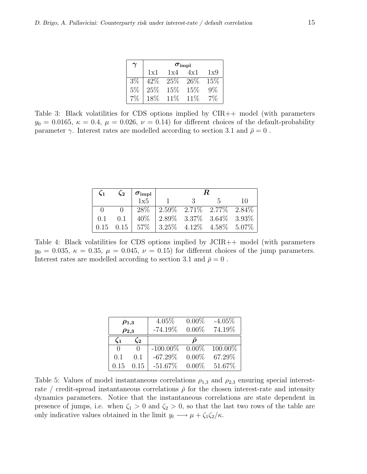|       | $\sigma_{\rm impl}$ |     |      |     |  |
|-------|---------------------|-----|------|-----|--|
|       | 1x1                 | 1x4 | 4x1  | 1x9 |  |
| $3\%$ | $42\%$              | 25% | 26\% | 15% |  |
| 5%    | 25%                 | 15% | 15%  | 9%  |  |
|       | 18\%                | 11% | 11\% |     |  |

Table 3: Black volatilities for CDS options implied by CIR++ model (with parameters  $y_0 = 0.0165$ ,  $\kappa = 0.4$ ,  $\mu = 0.026$ ,  $\nu = 0.14$ ) for different choices of the default-probability parameter  $\gamma$ . Interest rates are modelled according to section 3.1 and  $\bar{\rho} = 0$ .

|     | $\zeta_2$ | $\sigma_{\rm impl}$ | K                                                            |     |          |    |
|-----|-----------|---------------------|--------------------------------------------------------------|-----|----------|----|
|     |           | 1x5                 |                                                              | - 3 | $\Delta$ | 10 |
|     |           |                     | $\parallel$ 28\%   2.59\% 2.71\% 2.77\% 2.84\%               |     |          |    |
| 0.1 | 0.1       |                     | $\vert$ 40% $\vert$ 2.89% 3.37% 3.64% 3.93%                  |     |          |    |
|     |           |                     | $0.15$ $0.15$   $57\%$   $3.25\%$ $4.12\%$ $4.58\%$ $5.07\%$ |     |          |    |

Table 4: Black volatilities for CDS options implied by JCIR++ model (with parameters  $y_0 = 0.035, \ \kappa = 0.35, \ \mu = 0.045, \ \nu = 0.15$  for different choices of the jump parameters. Interest rates are modelled according to section 3.1 and  $\bar{\rho} = 0$ .

| $\rho_{1,3}$ |              | 4.05%       | $0.00\%$               | $-4.05\%$ |
|--------------|--------------|-------------|------------------------|-----------|
|              | $\rho_{2,3}$ | $-74.19%$   | $0.00\%$               | 74.19%    |
| $\zeta_1$    | $\zeta_2$    |             | $\boldsymbol{\varrho}$ |           |
| $\Omega$     | 0            | $-100.00\%$ | $0.00\%$               | 100.00%   |
| 0.1          | 0.1          | $-67.29\%$  | $0.00\%$               | 67.29%    |
| 0.15         | $\rm 0.15$   | $-51.67\%$  | $0.00\%$               | 51.67%    |

Table 5: Values of model instantaneous correlations  $\rho_{1,3}$  and  $\rho_{2,3}$  ensuring special interestrate / credit-spread instantaneous correlations  $\bar{\rho}$  for the chosen interest-rate and intensity dynamics parameters. Notice that the instantaneous correlations are state dependent in presence of jumps, i.e. when  $\zeta_1 > 0$  and  $\zeta_2 > 0$ , so that the last two rows of the table are only indicative values obtained in the limit  $y_t \longrightarrow \mu + \zeta_1 \zeta_2 / \kappa$ .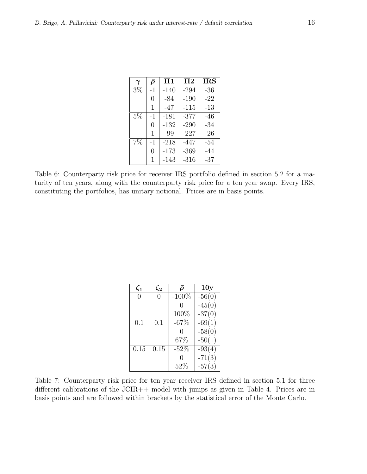| $\bm{\gamma}$ | $\bar{\rho}$   | $\Pi1$ | $\Pi2$ | <b>IRS</b> |
|---------------|----------------|--------|--------|------------|
| 3%            | $-1$           | $-140$ | $-294$ | $-36$      |
|               | $\overline{0}$ | -84    | $-190$ | $-22$      |
|               | 1              | $-47$  | $-115$ | $-13$      |
| $5\%$         | $-1$           | -181   | -377   | -46        |
|               | $\overline{0}$ | $-132$ | $-290$ | $-34$      |
|               | 1              | $-99$  | $-227$ | $-26$      |
| $7\%$         | $-1$           | $-218$ | $-447$ | $-54$      |
|               | $\overline{0}$ | $-173$ | $-369$ | -44        |
|               | 1              | $-143$ | $-316$ | $-37$      |

Table 6: Counterparty risk price for receiver IRS portfolio defined in section 5.2 for a maturity of ten years, along with the counterparty risk price for a ten year swap. Every IRS, constituting the portfolios, has unitary notional. Prices are in basis points.

| $\zeta_1$ | $\zeta_2$ | ō        | 10y      |
|-----------|-----------|----------|----------|
| 0         | O         | $-100\%$ | $-56(0)$ |
|           |           |          | $-45(0)$ |
|           |           | 100%     | $-37(0)$ |
| 0.1       | 0.1       | $-67%$   | $-69(1)$ |
|           |           | $\left($ | $-58(0)$ |
|           |           | 67%      | $-50(1)$ |
| 0.15      | 0.15      | $-52%$   | $-93(4)$ |
|           |           |          | $-71(3)$ |
|           |           | $52\%$   | $-57(3)$ |

Table 7: Counterparty risk price for ten year receiver IRS defined in section 5.1 for three different calibrations of the JCIR++ model with jumps as given in Table 4. Prices are in basis points and are followed within brackets by the statistical error of the Monte Carlo.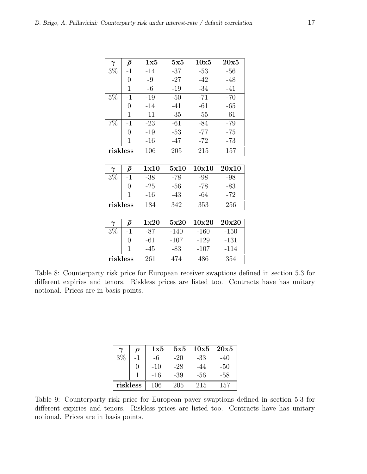| $\boldsymbol{\gamma}$ | $\bar{\rho}$           | 1x5             | 5x5               | 10x5  | 20x5  |
|-----------------------|------------------------|-----------------|-------------------|-------|-------|
| $3\%$                 | $-1$                   | -14             | $-37$             | $-53$ | $-56$ |
|                       | 0                      | $-9$            | $-27$             | -42   | -48   |
|                       | 1                      | -6              | $-19$             | $-34$ | -41   |
| $5\%$                 | $-1$                   | $-19$           | $-50$             | $-71$ | $-70$ |
|                       | 0                      | $-14$           | -41               | $-61$ | $-65$ |
|                       | 1                      | -11             | $-35$             | -55   | $-61$ |
| 7%                    | $-1$                   | $-23$           | $-61$             | -84   | $-79$ |
|                       | 0                      | $-19$           | $-53$             | $-77$ | $-75$ |
|                       | 1                      | $-16$           | $-47$             | $-72$ | $-73$ |
| riskless              |                        | 106             | 205               | 215   | 157   |
|                       |                        |                 |                   |       |       |
| $\bm{\gamma}$         | $\boldsymbol{\varrho}$ | $1\mathrm{x}10$ | $5 \mathrm{x} 10$ | 10x10 | 20x10 |

|          |   | 1X10  | əxiu  | TOXTO | 20X.IU |
|----------|---|-------|-------|-------|--------|
| $3\%$    |   | -38   | -78   | -98   | -98    |
|          | 0 | $-25$ | -56   | -78   | $-83$  |
|          |   | $-16$ | $-43$ | -64   | $-72$  |
| riskless |   |       | 342   | 353   | 256    |

|          | ρ | 1x20 | 5x20   | 10x20  | 20x20  |
|----------|---|------|--------|--------|--------|
| $3\%$    |   | -87  | $-140$ | -160   | $-150$ |
|          | 0 | -61  | $-107$ | $-129$ | -131   |
|          |   | -45  | -83    | $-107$ | $-114$ |
| riskless |   | 261  | 474    | 486    | 354    |

Table 8: Counterparty risk price for European receiver swaptions defined in section 5.3 for different expiries and tenors. Riskless prices are listed too. Contracts have has unitary notional. Prices are in basis points.

|          |    | 1x5   | 5x5 | 10x5 | 20x5 |
|----------|----|-------|-----|------|------|
| $3\%$    | -1 | -6    | -20 | -33  | -40  |
|          | 0  | $-10$ | -28 | -44  | -50  |
|          |    | -16   | -39 | -56  | -58  |
| riskless |    | 106   | 205 | 215  | 157  |

Table 9: Counterparty risk price for European payer swaptions defined in section 5.3 for different expiries and tenors. Riskless prices are listed too. Contracts have has unitary notional. Prices are in basis points.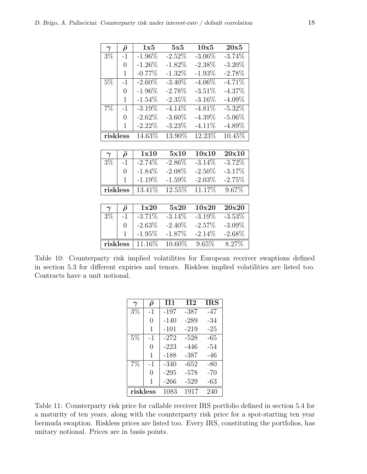| $\gamma$         | $\bar{\rho}$   | 1x5       | 5x5       | 10x5      | 20x5      |
|------------------|----------------|-----------|-----------|-----------|-----------|
| $3\%$            | $-1$           | $-1.96\%$ | $-2.52\%$ | $-3.06\%$ | $-3.74%$  |
|                  | 0              | $-1.26%$  | $-1.82\%$ | $-2.38\%$ | $-3.20\%$ |
|                  | 1              | $-0.77\%$ | $-1.32\%$ | $-1.93\%$ | $-2.78\%$ |
| $5\%$            | $-1$           | $-2.60\%$ | $-3.40\%$ | $-4.06\%$ | $-4.71%$  |
|                  | $\overline{0}$ | $-1.96\%$ | $-2.78%$  | $-3.51%$  | $-4.37\%$ |
|                  | 1              | $-1.54\%$ | $-2.35%$  | $-3.16\%$ | $-4.09\%$ |
| 7%               | $-1$           | $-3.19\%$ | $-4.14\%$ | $-4.81\%$ | $-5.32\%$ |
|                  | $\Omega$       | $-2.62\%$ | $-3.60\%$ | $-4.39\%$ | $-5.06\%$ |
|                  | 1              | $-2.22\%$ | $-3.23\%$ | $-4.11\%$ | $-4.89\%$ |
| riskless         |                | 14.63%    | 13.90%    | 12.23%    | 10.45\%   |
|                  |                |           |           |           |           |
|                  |                |           |           |           |           |
| $\gamma$         | $\bar{\rho}$   | 1x10      | 5x10      | 10x10     | 20x10     |
| $3\%$            | $-1$           | $-2.74%$  | $-2.86\%$ | $-3.14\%$ | $-3.72\%$ |
|                  | $\Omega$       | $-1.84\%$ | $-2.08\%$ | $-2.50\%$ | $-3.17%$  |
|                  | 1              | $-1.19%$  | $-1.59\%$ | $-2.03\%$ | $-2.75%$  |
| riskless         |                | 13.41\%   | 12.55%    | 11.17%    | 9.67%     |
|                  |                |           |           |           |           |
| $\gamma$         | $\bar{\rho}$   | 1x20      | 5x20      | 10x20     | 20x20     |
| $\overline{3\%}$ | $-1$           | $-3.71%$  | $-3.14%$  | $-3.19%$  | $-3.53\%$ |
|                  | $\overline{0}$ | $-2.63\%$ | $-2.40\%$ | $-2.57%$  | $-3.09\%$ |
|                  | 1              | $-1.95%$  | $-1.87%$  | $-2.14\%$ | $-2.68\%$ |

Table 10: Counterparty risk implied volatilities for European receiver swaptions defined in section 5.3 for different expiries and tenors. Riskless implied volatilities are listed too. Contracts have a unit notional.

| $\boldsymbol{\gamma}$ | $\bar{\rho}$ | $\Pi1$ | $\Pi2$ | <b>IRS</b> |
|-----------------------|--------------|--------|--------|------------|
| 3%                    | -1           | $-197$ | $-387$ | $-47$      |
|                       | 0            | $-140$ | $-289$ | -34        |
|                       | 1            | $-101$ | $-219$ | -25        |
| $5\%$                 | -1           | $-272$ | $-528$ | $-65$      |
|                       | 0            | $-223$ | -446   | -54        |
|                       | 1            | $-188$ | -387   | -46        |
| 7%                    | $-1$         | $-340$ | $-652$ | $-80$      |
|                       | 0            | $-295$ | $-578$ | -70        |
|                       | 1            | $-266$ | $-529$ | -63        |
| riskless              |              | 1083   | 1917   | 240        |

Table 11: Counterparty risk price for callable receiver IRS portfolio defined in section 5.4 for a maturity of ten years, along with the counterparty risk price for a spot-starting ten year bermuda swaption. Riskless prices are listed too. Every IRS, constituting the portfolios, has unitary notional. Prices are in basis points.